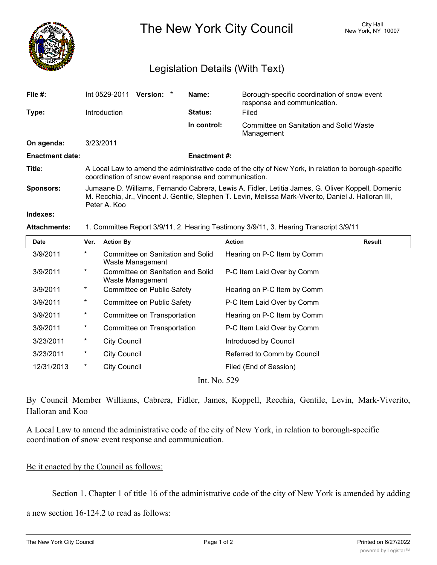

The New York City Council New York, NY 10007

## Legislation Details (With Text)

| File #:                |                                                                                                                                                                                                                            | Int 0529-2011       | Version: *                                            | Name:                             | Borough-specific coordination of snow event<br>response and communication.            |               |
|------------------------|----------------------------------------------------------------------------------------------------------------------------------------------------------------------------------------------------------------------------|---------------------|-------------------------------------------------------|-----------------------------------|---------------------------------------------------------------------------------------|---------------|
| Type:                  |                                                                                                                                                                                                                            | Introduction        |                                                       | <b>Status:</b>                    | Filed                                                                                 |               |
|                        |                                                                                                                                                                                                                            |                     |                                                       | In control:                       | <b>Committee on Sanitation and Solid Waste</b><br>Management                          |               |
| On agenda:             |                                                                                                                                                                                                                            | 3/23/2011           |                                                       |                                   |                                                                                       |               |
| <b>Enactment date:</b> |                                                                                                                                                                                                                            |                     |                                                       | <b>Enactment#:</b>                |                                                                                       |               |
| Title:                 | A Local Law to amend the administrative code of the city of New York, in relation to borough-specific<br>coordination of snow event response and communication.                                                            |                     |                                                       |                                   |                                                                                       |               |
| <b>Sponsors:</b>       | Jumaane D. Williams, Fernando Cabrera, Lewis A. Fidler, Letitia James, G. Oliver Koppell, Domenic<br>M. Recchia, Jr., Vincent J. Gentile, Stephen T. Levin, Melissa Mark-Viverito, Daniel J. Halloran III,<br>Peter A. Koo |                     |                                                       |                                   |                                                                                       |               |
| Indexes:               |                                                                                                                                                                                                                            |                     |                                                       |                                   |                                                                                       |               |
| <b>Attachments:</b>    |                                                                                                                                                                                                                            |                     |                                                       |                                   | 1. Committee Report 3/9/11, 2. Hearing Testimony 3/9/11, 3. Hearing Transcript 3/9/11 |               |
| <b>Date</b>            | Ver.                                                                                                                                                                                                                       | <b>Action By</b>    |                                                       |                                   | <b>Action</b>                                                                         | <b>Result</b> |
| 3/9/2011               | $\star$                                                                                                                                                                                                                    |                     |                                                       | Committee on Sanitation and Solid | Hearing on P-C Item by Comm                                                           |               |
|                        |                                                                                                                                                                                                                            |                     | Waste Management                                      |                                   |                                                                                       |               |
| 3/9/2011               | $^\ast$                                                                                                                                                                                                                    |                     | Committee on Sanitation and Solid<br>Waste Management |                                   | P-C Item Laid Over by Comm                                                            |               |
| 3/9/2011               | $^\ast$                                                                                                                                                                                                                    |                     | Committee on Public Safety                            |                                   | Hearing on P-C Item by Comm                                                           |               |
| 3/9/2011               | $\ast$                                                                                                                                                                                                                     |                     | Committee on Public Safety                            |                                   | P-C Item Laid Over by Comm                                                            |               |
| 3/9/2011               | $\ast$                                                                                                                                                                                                                     |                     | Committee on Transportation                           |                                   | Hearing on P-C Item by Comm                                                           |               |
| 3/9/2011               | $\ast$                                                                                                                                                                                                                     |                     | Committee on Transportation                           |                                   | P-C Item Laid Over by Comm                                                            |               |
| 3/23/2011              | $\ast$                                                                                                                                                                                                                     | <b>City Council</b> |                                                       |                                   | Introduced by Council                                                                 |               |
| 3/23/2011              | $^\star$                                                                                                                                                                                                                   | <b>City Council</b> |                                                       |                                   | Referred to Comm by Council                                                           |               |
| 12/31/2013             | $\ast$                                                                                                                                                                                                                     | <b>City Council</b> |                                                       |                                   | Filed (End of Session)                                                                |               |

By Council Member Williams, Cabrera, Fidler, James, Koppell, Recchia, Gentile, Levin, Mark-Viverito, Halloran and Koo

A Local Law to amend the administrative code of the city of New York, in relation to borough-specific coordination of snow event response and communication.

## Be it enacted by the Council as follows:

Section 1. Chapter 1 of title 16 of the administrative code of the city of New York is amended by adding

 $\mathcal{L}_{\mathcal{A}}$  . The coordinator snow event commissioner shall designate a department commissioner shall designate a department

a new section 16-124.2 to read as follows: